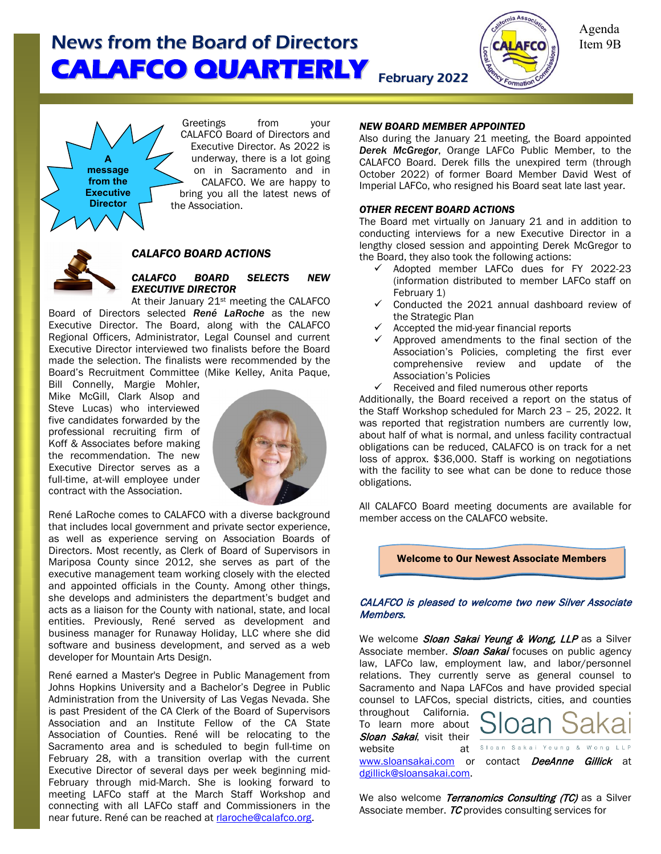

Agenda Item 9B

**A message from the Executive Director**

Greetings from your CALAFCO Board of Directors and Executive Director. As 2022 is underway, there is a lot going on in Sacramento and in CALAFCO. We are happy to bring you all the latest news of the Association.



#### *CALAFCO BOARD ACTIONS*

### *CALAFCO BOARD SELECTS NEW EXECUTIVE DIRECTOR*

At their January 21st meeting the CALAFCO Board of Directors selected *René LaRoche* as the new Executive Director. The Board, along with the CALAFCO Regional Officers, Administrator, Legal Counsel and current Executive Director interviewed two finalists before the Board made the selection. The finalists were recommended by the Board's Recruitment Committee (Mike Kelley, Anita Paque,

Bill Connelly, Margie Mohler, Mike McGill, Clark Alsop and Steve Lucas) who interviewed five candidates forwarded by the professional recruiting firm of Koff & Associates before making the recommendation. The new Executive Director serves as a full-time, at-will employee under contract with the Association.



René LaRoche comes to CALAFCO with a diverse background that includes local government and private sector experience, as well as experience serving on Association Boards of Directors. Most recently, as Clerk of Board of Supervisors in Mariposa County since 2012, she serves as part of the executive management team working closely with the elected and appointed officials in the County. Among other things, she develops and administers the department's budget and acts as a liaison for the County with national, state, and local entities. Previously, René served as development and business manager for Runaway Holiday, LLC where she did software and business development, and served as a web developer for Mountain Arts Design.

René earned a Master's Degree in Public Management from Johns Hopkins University and a Bachelor's Degree in Public Administration from the University of Las Vegas Nevada. She is past President of the CA Clerk of the Board of Supervisors Association and an Institute Fellow of the CA State Association of Counties. René will be relocating to the Sacramento area and is scheduled to begin full-time on February 28, with a transition overlap with the current Executive Director of several days per week beginning mid-February through mid-March. She is looking forward to meeting LAFCo staff at the March Staff Workshop and connecting with all LAFCo staff and Commissioners in the near future. René can be reached at [rlaroche@calafco.org.](mailto:rlaroche@calafco.org)

#### *NEW BOARD MEMBER APPOINTED*

Also during the January 21 meeting, the Board appointed *Derek McGregor*, Orange LAFCo Public Member, to the CALAFCO Board. Derek fills the unexpired term (through October 2022) of former Board Member David West of Imperial LAFCo, who resigned his Board seat late last year.

#### *OTHER RECENT BOARD ACTIONS*

The Board met virtually on January 21 and in addition to conducting interviews for a new Executive Director in a lengthy closed session and appointing Derek McGregor to the Board, they also took the following actions:

- $\checkmark$  Adopted member LAFCo dues for FY 2022-23 (information distributed to member LAFCo staff on February 1)
- $\checkmark$  Conducted the 2021 annual dashboard review of the Strategic Plan
- $\checkmark$  Accepted the mid-year financial reports
- Approved amendments to the final section of the Association's Policies, completing the first ever comprehensive review and update of the Association's Policies
- Received and filed numerous other reports

Additionally, the Board received a report on the status of the Staff Workshop scheduled for March 23 – 25, 2022. It was reported that registration numbers are currently low, about half of what is normal, and unless facility contractual obligations can be reduced, CALAFCO is on track for a net loss of approx. \$36,000. Staff is working on negotiations with the facility to see what can be done to reduce those obligations.

All CALAFCO Board meeting documents are available for member access on the CALAFCO website.

Welcome to Our Newest Associate Members

#### CALAFCO is pleased to welcome two new Silver Associate Members.

We welcome Sloan Sakai Yeung & Wong, LLP as a Silver Associate member. Sloan Sakai focuses on public agency law, LAFCo law, employment law, and labor/personnel relations. They currently serve as general counsel to Sacramento and Napa LAFCos and have provided special counsel to LAFCos, special districts, cities, and counties throughout California. To learn more about **Sloan Sakai,** visit their  $\frac{1}{\left| \int_{\text{Sloan Saka}} \right|}$ website Yeung & Wong [www.sloansakai.com](http://www.sloansakai.com/) or contact **DeeAnne Gillick** at [dgillick@sloansakai.com.](mailto:dgillick@sloansakai.com) 

We also welcome Terranomics Consulting (TC) as a Silver Associate member. TC provides consulting services for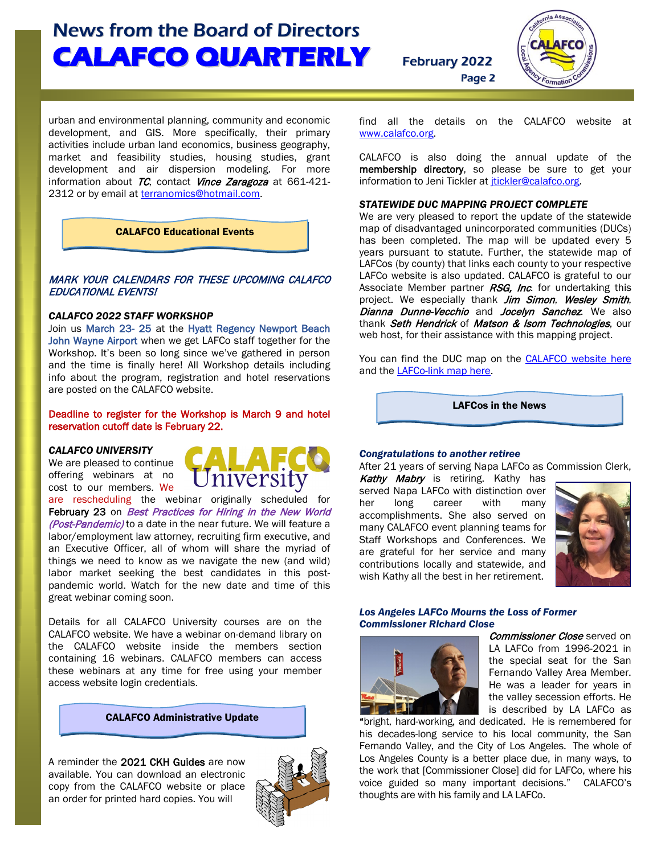

urban and environmental planning, community and economic development, and GIS. More specifically, their primary activities include urban land economics, business geography, market and feasibility studies, housing studies, grant development and air dispersion modeling. For more

CALAFCO Educational Events

information about  $TC$ , contact Vince Zaragoza at 661-421-

2312 or by email at [terranomics@hotmail.com.](mailto:terranomics@hotmail.com)

### MARK YOUR CALENDARS FOR THESE UPCOMING CALAFCO EDUCATIONAL EVENTS!

#### *CALAFCO 2022 STAFF WORKSHOP*

Join us March 23- 25 at the Hyatt Regency Newport Beach John Wayne Airport when we get LAFCo staff together for the Workshop. It's been so long since we've gathered in person and the time is finally here! All Workshop details including info about the program, registration and hotel reservations are posted on the CALAFCO website.

Deadline to register for the Workshop is March 9 and hotel reservation cutoff date is February 22.

#### *CALAFCO UNIVERSITY*

We are pleased to continue offering webinars at no cost to our members. We



are rescheduling the webinar originally scheduled for February 23 on *Best Practices for Hiring in the New World* (Post-Pandemic) to a date in the near future. We will feature a labor/employment law attorney, recruiting firm executive, and an Executive Officer, all of whom will share the myriad of things we need to know as we navigate the new (and wild) labor market seeking the best candidates in this postpandemic world. Watch for the new date and time of this great webinar coming soon.

Details for all CALAFCO University courses are on the CALAFCO website. We have a webinar on-demand library on the CALAFCO website inside the members section containing 16 webinars. CALAFCO members can access these webinars at any time for free using your member access website login credentials.

CALAFCO Administrative Update

A reminder the 2021 CKH Guides are now available. You can download an electronic copy from the CALAFCO website or place an order for printed hard copies. You will



find all the details on the CALAFCO website at [www.calafco.org.](http://www.calafco.org/)

Page 2

CALAFCO is also doing the annual update of the membership directory, so please be sure to get your information to Jeni Tickler at [jtickler@calafco.org.](mailto:jtickler@calafco.org)

#### *STATEWIDE DUC MAPPING PROJECT COMPLETE*

We are very pleased to report the update of the statewide map of disadvantaged unincorporated communities (DUCs) has been completed. The map will be updated every 5 years pursuant to statute. Further, the statewide map of LAFCos (by county) that links each county to your respective LAFCo website is also updated. CALAFCO is grateful to our Associate Member partner RSG, Inc. for undertaking this project. We especially thank Jim Simon, Wesley Smith, Dianna Dunne-Vecchio and Jocelyn Sanchez. We also thank Seth Hendrick of Matson & Isom Technologies, our web host, for their assistance with this mapping project.

You can find the DUC map on the [CALAFCO website here](https://www.arcgis.com/apps/View/index.html?appid=4319a8066745442cbe7de6af1d13f98a) and the [LAFCo-link map here.](https://calafco.org/about-us/lafco-directory)

LAFCos in the News

#### *Congratulations to another retiree*

After 21 years of serving Napa LAFCo as Commission Clerk,

Kathy Mabry is retiring. Kathy has served Napa LAFCo with distinction over her long career with many accomplishments. She also served on many CALAFCO event planning teams for Staff Workshops and Conferences. We are grateful for her service and many contributions locally and statewide, and wish Kathy all the best in her retirement.



#### *Los Angeles LAFCo Mourns the Loss of Former Commissioner Richard Close*



Commissioner Close served on LA LAFCo from 1996-2021 in the special seat for the San Fernando Valley Area Member. He was a leader for years in the valley secession efforts. He is described by LA LAFCo as

"bright, hard-working, and dedicated. He is remembered for his decades-long service to his local community, the San Fernando Valley, and the City of Los Angeles. The whole of Los Angeles County is a better place due, in many ways, to the work that [Commissioner Close] did for LAFCo, where his voice guided so many important decisions." CALAFCO's thoughts are with his family and LA LAFCo.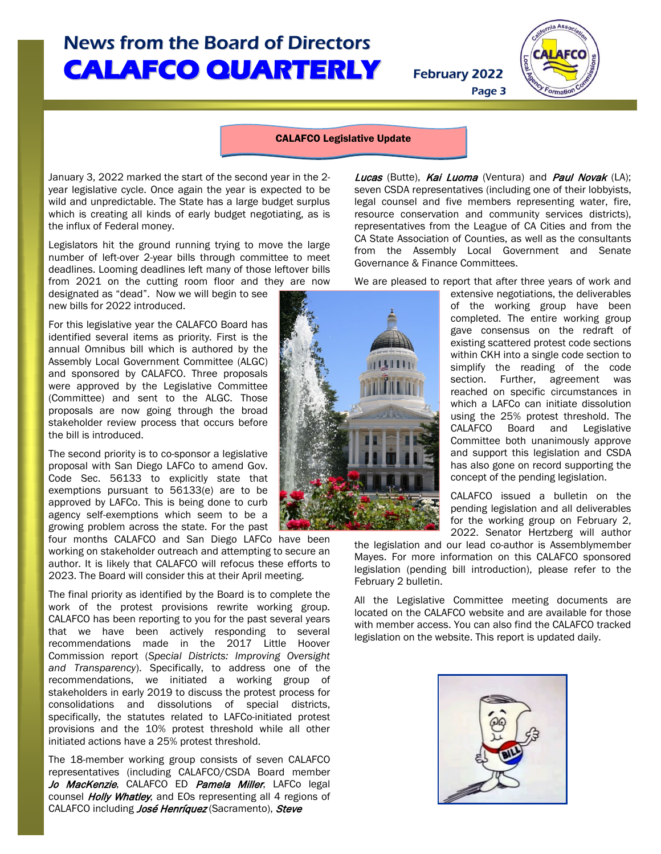Page 3



#### CALAFCO Legislative Update

January 3, 2022 marked the start of the second year in the 2 year legislative cycle. Once again the year is expected to be wild and unpredictable. The State has a large budget surplus which is creating all kinds of early budget negotiating, as is the influx of Federal money.

Legislators hit the ground running trying to move the large number of left-over 2-year bills through committee to meet deadlines. Looming deadlines left many of those leftover bills from 2021 on the cutting room floor and they are now

designated as "dead". Now we will begin to see new bills for 2022 introduced.

For this legislative year the CALAFCO Board has identified several items as priority. First is the annual Omnibus bill which is authored by the Assembly Local Government Committee (ALGC) and sponsored by CALAFCO. Three proposals were approved by the Legislative Committee (Committee) and sent to the ALGC. Those proposals are now going through the broad stakeholder review process that occurs before the bill is introduced.

The second priority is to co-sponsor a legislative proposal with San Diego LAFCo to amend Gov. Code Sec. 56133 to explicitly state that exemptions pursuant to 56133(e) are to be approved by LAFCo. This is being done to curb agency self-exemptions which seem to be a growing problem across the state. For the past

four months CALAFCO and San Diego LAFCo have been working on stakeholder outreach and attempting to secure an author. It is likely that CALAFCO will refocus these efforts to 2023. The Board will consider this at their April meeting.

The final priority as identified by the Board is to complete the work of the protest provisions rewrite working group. CALAFCO has been reporting to you for the past several years that we have been actively responding to several recommendations made in the 2017 Little Hoover Commission report (*Special Districts: Improving Oversight and Transparency*). Specifically, to address one of the recommendations, we initiated a working group of stakeholders in early 2019 to discuss the protest process for consolidations and dissolutions of special districts, specifically, the statutes related to LAFCo-initiated protest provisions and the 10% protest threshold while all other initiated actions have a 25% protest threshold.

The 18-member working group consists of seven CALAFCO representatives (including CALAFCO/CSDA Board member Jo MacKenzie, CALAFCO ED Pamela Miller, LAFCo legal counsel *Holly Whatley*, and EOs representing all 4 regions of CALAFCO including *José Henríquez* (Sacramento), Steve

Lucas (Butte), Kai Luoma (Ventura) and Paul Novak (LA); seven CSDA representatives (including one of their lobbyists, legal counsel and five members representing water, fire, resource conservation and community services districts), representatives from the League of CA Cities and from the CA State Association of Counties, as well as the consultants from the Assembly Local Government and Senate Governance & Finance Committees.

We are pleased to report that after three years of work and

extensive negotiations, the deliverables of the working group have been completed. The entire working group gave consensus on the redraft of existing scattered protest code sections within CKH into a single code section to simplify the reading of the code section. Further, agreement was reached on specific circumstances in which a LAFCo can initiate dissolution using the 25% protest threshold. The CALAFCO Board and Legislative Committee both unanimously approve and support this legislation and CSDA has also gone on record supporting the concept of the pending legislation.

CALAFCO issued a bulletin on the pending legislation and all deliverables for the working group on February 2, 2022. Senator Hertzberg will author

the legislation and our lead co-author is Assemblymember Mayes. For more information on this CALAFCO sponsored legislation (pending bill introduction), please refer to the February 2 bulletin.

All the Legislative Committee meeting documents are located on the CALAFCO website and are available for those with member access. You can also find the CALAFCO tracked legislation on the website. This report is updated daily.